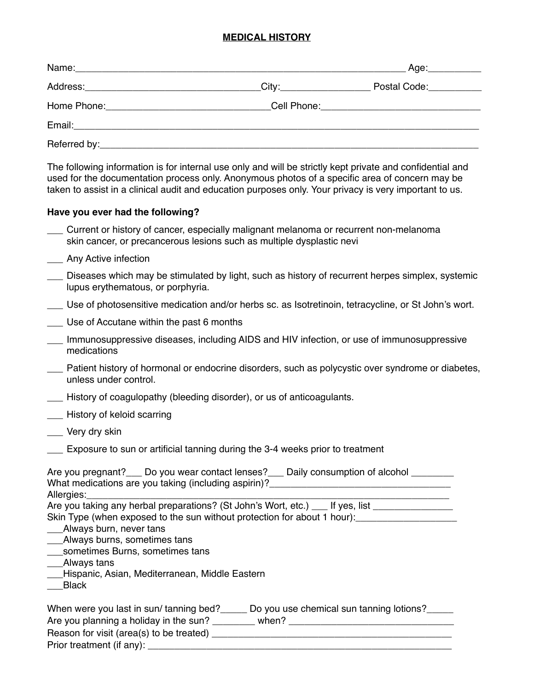#### **MEDICAL HISTORY**

|                          | Age:                                         |
|--------------------------|----------------------------------------------|
| City:___________________ | Postal Code: National Postal Code:           |
|                          | Cell Phone: ________________________________ |
|                          |                                              |
|                          |                                              |

The following information is for internal use only and will be strictly kept private and confidential and used for the documentation process only. Anonymous photos of a specific area of concern may be taken to assist in a clinical audit and education purposes only. Your privacy is very important to us.

#### **Have you ever had the following?**

- \_\_\_ Current or history of cancer, especially malignant melanoma or recurrent non-melanoma skin cancer, or precancerous lesions such as multiple dysplastic nevi
- \_\_\_ Any Active infection
- Diseases which may be stimulated by light, such as history of recurrent herpes simplex, systemic lupus erythematous, or porphyria.
- \_\_\_ Use of photosensitive medication and/or herbs sc. as Isotretinoin, tetracycline, or St John's wort.
- Use of Accutane within the past 6 months
- \_\_\_ Immunosuppressive diseases, including AIDS and HIV infection, or use of immunosuppressive medications
- \_\_\_ Patient history of hormonal or endocrine disorders, such as polycystic over syndrome or diabetes, unless under control.
- \_\_\_ History of coagulopathy (bleeding disorder), or us of anticoagulants.
- \_\_\_ History of keloid scarring
- Very dry skin
- \_\_\_ Exposure to sun or artificial tanning during the 3-4 weeks prior to treatment

| Are you pregnant? | Do you wear contact lenses?                          | Daily consumption of alcohol |  |
|-------------------|------------------------------------------------------|------------------------------|--|
|                   | What medications are you taking (including aspirin)? |                              |  |
| Allergies:        |                                                      |                              |  |

Are you taking any herbal preparations? (St John's Wort, etc.) If yes, list

Skin Type (when exposed to the sun without protection for about 1 hour):

- \_\_\_Always burn, never tans
- \_\_\_Always burns, sometimes tans
- \_\_\_sometimes Burns, sometimes tans
- \_\_\_Always tans
- \_\_\_Hispanic, Asian, Mediterranean, Middle Eastern
- \_\_\_Black

| When were you last in sun/tanning bed?   | Do you use chemical sun tanning lotions? |
|------------------------------------------|------------------------------------------|
| Are you planning a holiday in the sun?   | when?                                    |
| Reason for visit (area(s) to be treated) |                                          |
| Prior treatment (if any):                |                                          |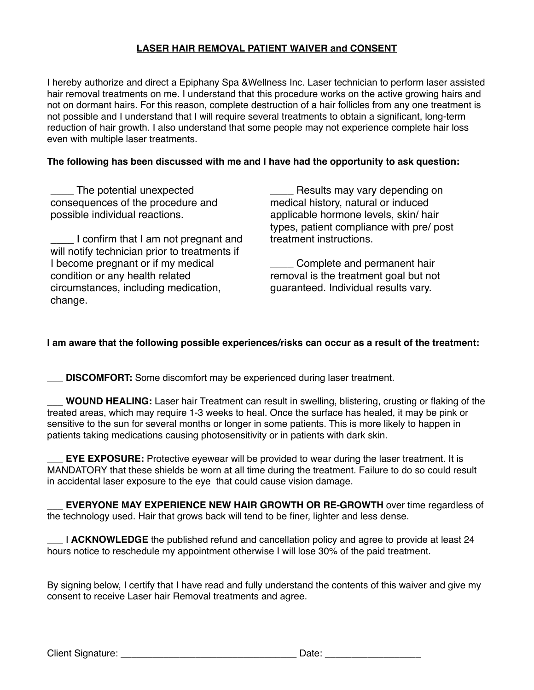## **LASER HAIR REMOVAL PATIENT WAIVER and CONSENT**

I hereby authorize and direct a Epiphany Spa &Wellness Inc. Laser technician to perform laser assisted hair removal treatments on me. I understand that this procedure works on the active growing hairs and not on dormant hairs. For this reason, complete destruction of a hair follicles from any one treatment is not possible and I understand that I will require several treatments to obtain a significant, long-term reduction of hair growth. I also understand that some people may not experience complete hair loss even with multiple laser treatments.

### **The following has been discussed with me and I have had the opportunity to ask question:**

\_\_\_\_ The potential unexpected consequences of the procedure and possible individual reactions.

\_\_\_\_ I confirm that I am not pregnant and will notify technician prior to treatments if I become pregnant or if my medical condition or any health related circumstances, including medication, change.

\_\_\_\_ Results may vary depending on medical history, natural or induced applicable hormone levels, skin/ hair types, patient compliance with pre/ post treatment instructions.

Complete and permanent hair removal is the treatment goal but not guaranteed. Individual results vary.

### **I am aware that the following possible experiences/risks can occur as a result of the treatment:**

**\_\_\_ DISCOMFORT:** Some discomfort may be experienced during laser treatment.

WOUND HEALING: Laser hair Treatment can result in swelling, blistering, crusting or flaking of the treated areas, which may require 1-3 weeks to heal. Once the surface has healed, it may be pink or sensitive to the sun for several months or longer in some patients. This is more likely to happen in patients taking medications causing photosensitivity or in patients with dark skin.

**EYE EXPOSURE:** Protective eyewear will be provided to wear during the laser treatment. It is MANDATORY that these shields be worn at all time during the treatment. Failure to do so could result in accidental laser exposure to the eye that could cause vision damage.

**EVERYONE MAY EXPERIENCE NEW HAIR GROWTH OR RE-GROWTH** over time regardless of the technology used. Hair that grows back will tend to be finer, lighter and less dense.

\_\_\_ I **ACKNOWLEDGE** the published refund and cancellation policy and agree to provide at least 24 hours notice to reschedule my appointment otherwise I will lose 30% of the paid treatment.

By signing below, I certify that I have read and fully understand the contents of this waiver and give my consent to receive Laser hair Removal treatments and agree.